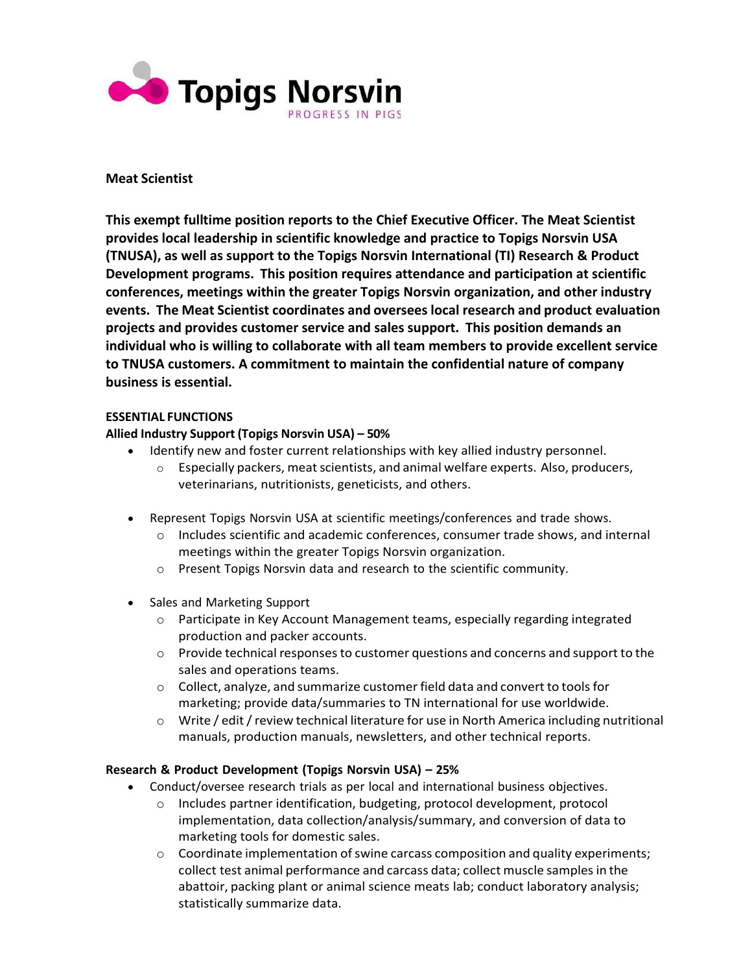

### **Meat Scientist**

**This exempt fulltime position reports to the Chief Executive Officer. The Meat Scientist provides local leadership in scientific knowledge and practice to Topigs Norsvin USA (TNUSA), as well as support to the Topigs Norsvin International (TI) Research & Product Development programs. This position requires attendance and participation at scientific conferences, meetings within the greater Topigs Norsvin organization, and other industry events. The Meat Scientist coordinates and oversees local research and product evaluation projects and provides customer service and sales support. This position demands an individual who is willing to collaborate with all team members to provide excellent service to TNUSA customers. A commitment to maintain the confidential nature of company business is essential.**

### **ESSENTIAL FUNCTIONS**

# **Allied Industry Support (Topigs Norsvin USA) – 50%**

- Identify new and foster current relationships with key allied industry personnel.
	- $\circ$  Especially packers, meat scientists, and animal welfare experts. Also, producers, veterinarians, nutritionists, geneticists, and others.
- Represent Topigs Norsvin USA at scientific meetings/conferences and trade shows.
	- o Includes scientific and academic conferences, consumer trade shows, and internal meetings within the greater Topigs Norsvin organization.
	- o Present Topigs Norsvin data and research to the scientific community.
- Sales and Marketing Support
	- o Participate in Key Account Management teams, especially regarding integrated production and packer accounts.
	- o Provide technical responses to customer questions and concerns and support to the sales and operations teams.
	- o Collect, analyze, and summarize customer field data and convert to tools for marketing; provide data/summaries to TN international for use worldwide.
	- $\circ$  Write / edit / review technical literature for use in North America including nutritional manuals, production manuals, newsletters, and other technical reports.

### **Research & Product Development (Topigs Norsvin USA) – 25%**

- Conduct/oversee research trials as per local and international business objectives.
	- o Includes partner identification, budgeting, protocol development, protocol implementation, data collection/analysis/summary, and conversion of data to marketing tools for domestic sales.
	- $\circ$  Coordinate implementation of swine carcass composition and quality experiments; collect test animal performance and carcass data; collect muscle samples in the abattoir, packing plant or animal science meats lab; conduct laboratory analysis; statistically summarize data.